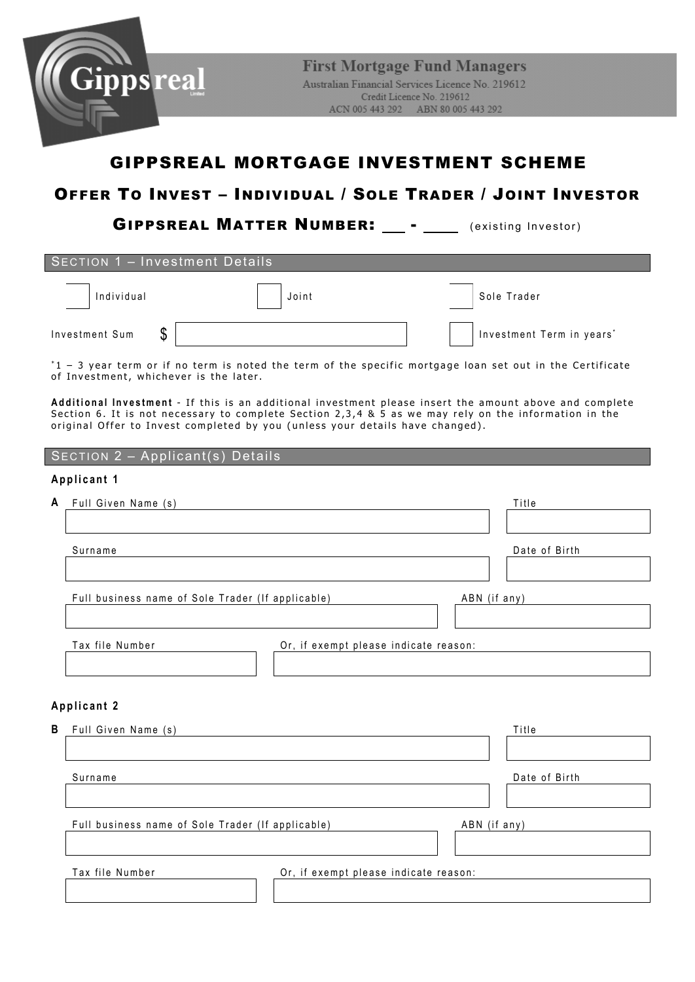

GIPPSREAL MATTER NUMBER: \_\_ - \_\_\_ (existing Investor)

| <b>SECTION 1 - Investment Details</b>                                                                                                                                                                                                                                                             |                                                                                                             |                           |  |  |  |
|---------------------------------------------------------------------------------------------------------------------------------------------------------------------------------------------------------------------------------------------------------------------------------------------------|-------------------------------------------------------------------------------------------------------------|---------------------------|--|--|--|
| Individual                                                                                                                                                                                                                                                                                        | Joint                                                                                                       | Sole Trader               |  |  |  |
| \$<br>Investment Sum                                                                                                                                                                                                                                                                              |                                                                                                             | Investment Term in years* |  |  |  |
| of Investment, whichever is the later.                                                                                                                                                                                                                                                            | $*1$ - 3 year term or if no term is noted the term of the specific mortgage loan set out in the Certificate |                           |  |  |  |
| Additional Investment - If this is an additional investment please insert the amount above and complete<br>Section 6. It is not necessary to complete Section 2,3,4 & 5 as we may rely on the information in the<br>original Offer to Invest completed by you (unless your details have changed). |                                                                                                             |                           |  |  |  |
| $\sqrt{SECTION}$ 2 - Applicant(s) Details                                                                                                                                                                                                                                                         |                                                                                                             |                           |  |  |  |
| Applicant 1                                                                                                                                                                                                                                                                                       |                                                                                                             |                           |  |  |  |

| A | Full Given Name (s)                                      |              | Title         |
|---|----------------------------------------------------------|--------------|---------------|
|   |                                                          |              |               |
|   | Surname                                                  |              | Date of Birth |
|   |                                                          |              |               |
|   | Full business name of Sole Trader (If applicable)        | ABN (if any) |               |
|   |                                                          |              |               |
|   | Tax file Number<br>Or, if exempt please indicate reason: |              |               |
|   |                                                          |              |               |
|   |                                                          |              |               |
|   | Applicant 2                                              |              |               |
| В | Full Given Name (s)                                      |              | Title         |
|   |                                                          |              |               |
|   | Surname                                                  |              | Date of Birth |
|   |                                                          |              |               |
|   | Full business name of Sole Trader (If applicable)        | ABN (if any) |               |

Tax file Number Or, if exempt please indicate reason: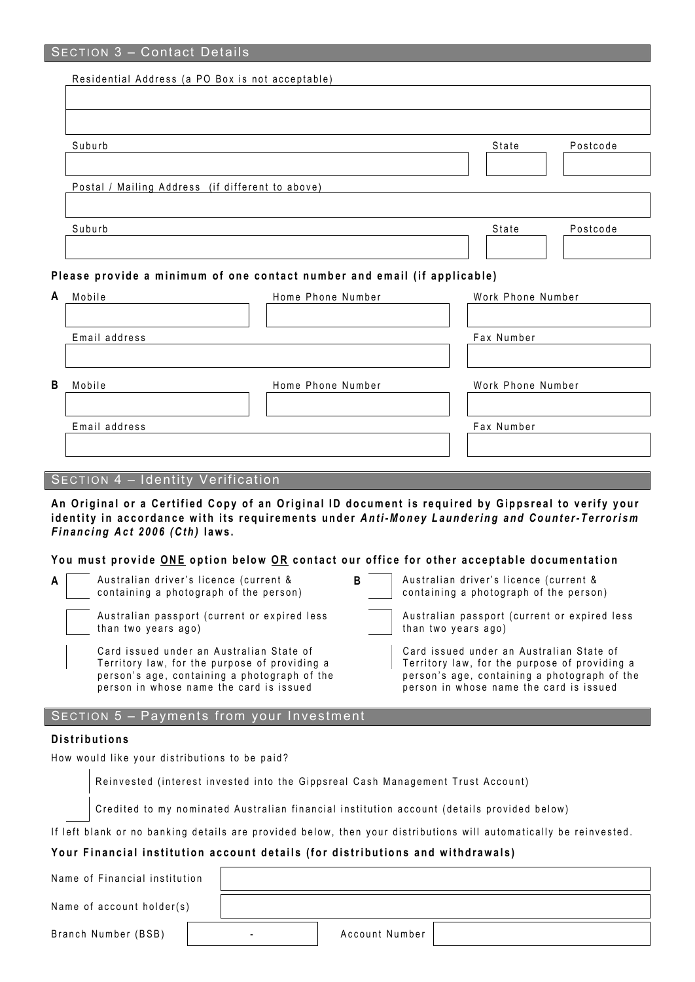|   | Residential Address (a PO Box is not acceptable) |                                                                          |                   |          |
|---|--------------------------------------------------|--------------------------------------------------------------------------|-------------------|----------|
|   |                                                  |                                                                          |                   |          |
|   |                                                  |                                                                          |                   |          |
|   | Suburb                                           |                                                                          | State             | Postcode |
|   |                                                  |                                                                          |                   |          |
|   | Postal / Mailing Address (if different to above) |                                                                          |                   |          |
|   |                                                  |                                                                          |                   |          |
|   | Suburb                                           |                                                                          | State             | Postcode |
|   |                                                  |                                                                          |                   |          |
|   |                                                  | Please provide a minimum of one contact number and email (if applicable) |                   |          |
| A | Mobile                                           | Home Phone Number                                                        | Work Phone Number |          |
|   |                                                  |                                                                          |                   |          |
|   | Email address                                    |                                                                          | Fax Number        |          |
|   |                                                  |                                                                          |                   |          |
| B | Mobile                                           | Home Phone Number                                                        | Work Phone Number |          |
|   |                                                  |                                                                          |                   |          |
|   | Email address                                    |                                                                          | Fax Number        |          |
|   |                                                  |                                                                          |                   |          |
|   |                                                  |                                                                          |                   |          |

## SECTION 4 – Identity Verification

**An Original or a Certified Copy of an Original ID document is required by Gippsreal to verify your i d entity in accordance with its requirements under** *Anti-Money Laundering and Counter- Terrorism Financing Act 2006 (Cth)* **laws .** 

#### **You must provide ONE option below O R contact our office for other acceptable documentation**

| A l | Australian driver's licence (current & |  |  |  |  |
|-----|----------------------------------------|--|--|--|--|
|     | containing a photograph of the person) |  |  |  |  |

Australian passport (current or expired less than two years ago)

Card issued under an Australian State of Territory law, for the purpose of providing a person's age, containing a photograph of the person in whose name the card is issued

| B | Australian driver's licence (current & |
|---|----------------------------------------|
|   | containing a photograph of the person) |

Australian passport (current or expired less than two y ears ago)

> Card issued under an Australian State of Territory law, for the purpose of providing a person's age, containing a photograph of the person in whose name the card is issued

## SECTION 5 – Payments from your Investment

#### **Distributions**

How would like your distributions to be paid?

Reinvested (interest invested into the Gippsreal Cash Management Trust Account)

Credited to my nominated Australian financial institution account (details provided below)

If left blank or no banking details are provided below, then your distributions will automatically be reinvested.

## **Your Financial institution account details (for distributions and withdrawals)**

Name of Financial institution

Name of account holder(s)

Branch Number (BSB) | Account Number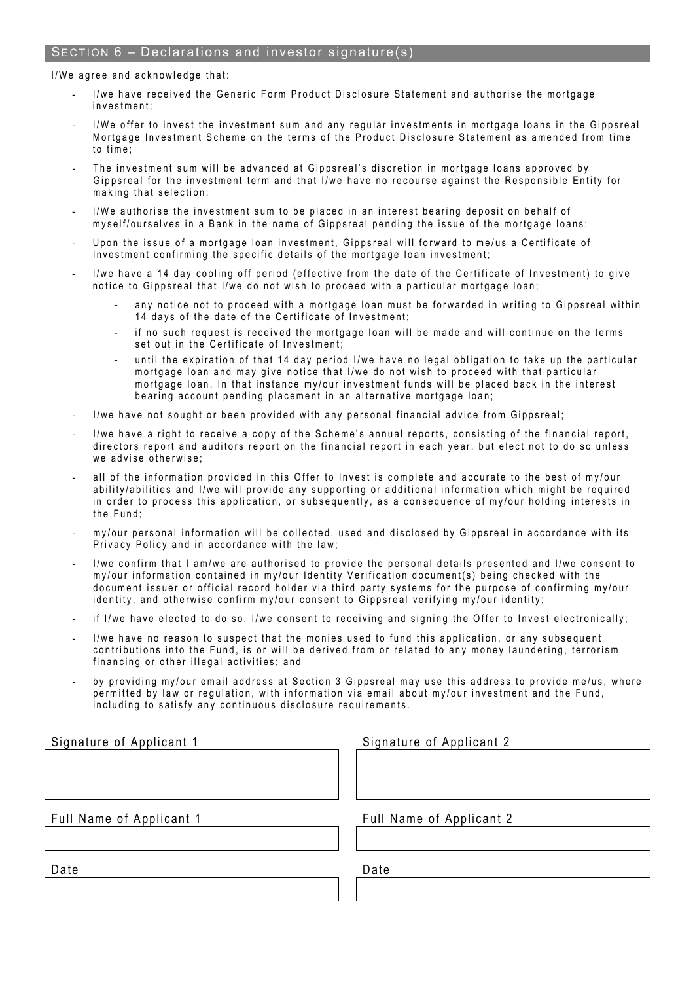## SECTION 6 – Declarations and investor signature(s)

I/We agree and acknowledge that:

- I/we have received the Generic Form Product Disclosure Statement and authorise the mortgage investment;
- I/We offer to invest the investment sum and any regular investments in mortgage loans in the Gippsreal Mortgage Investment S cheme on the terms of the Product Disclosure Statement as amended from time to time;
- The investment sum will be advanced at Gippsreal's discretion in mortgage loans approved by Gippsreal for the investment term and that I/we have no recourse against the Re sponsible Entity for making that selection ;
- I/We authorise the investment sum to be placed in an interest bearing deposit on behalf of myself/ourselves in a Bank in the name of Gippsreal pending the issue of the mortgage loans;
- Upon the issue of a mortgage loan investment, Gippsreal will forward to me/us a Certificate of Investment confirming the specific details of the mortgage loan investment;
- I/we have a 14 day cooling off period (effective from the date of the Certificate of Investment) to give notice to Gippsreal that I/we do not wish to proceed with a particular mortgage loan;
	- any notice not to proceed with a mortgage loan must be forwarded in writing to Gippsreal within 14 days of the date of the Certificate of Investment:
	- if no such request is received the mortgage loan will be made and will continue on the terms set out in the Certificate of Investment;
	- until the expiration of that 14 day period I/we have no legal obligation to take up the particular mortgage loan and may give notice that I/we do not wish to proceed with that particular mortgage loan. In that instance my/our investment funds will be placed back in the interest bearing account pending placement in an alternative mortgage loan;
- I/we have not sought or been provided with any personal financial advice from Gippsreal;
- I/we have a right to receive a copy of the Scheme's annual reports, consisting of the financial report, directors report and auditors report on the financial report in each year, but elect not to do so unless we advise otherwise;
- all of the information provided in this Offer to Invest is complete and accurate to the best of my/our ability/abilities and I/we will provide any supporting or additional information which might be required in order to process this application, or subsequently, as a consequence of my/our holding interests in the Fund;
- my/our personal information will be collected, used and disclosed by Gippsreal in accordance with its Privacy Policy and in accordance with the law;
- I/we confirm that I am/we are authorised to provide the personal details presented and I/we consent to my/our information contained in my/our Identity Verification document(s) being checked with the document issuer or official record holder via third party systems for the purpose of confirming my/our identity, and otherwise confirm my/our consent to Gippsreal verifying my/our identity;
- if I/we have elected to do so, I/we consent to receiving and signing the Offer to Invest electronically;
- I/we have no reason to suspect that the monies used to fund this application, or any subsequent contributions into the Fund, is or will be derived from or related to any money laundering, terrorism financing or other illegal activities; and
- by providing my/our email address at Section 3 Gippsreal may use this address to provide me/us, where permitted by law or regulation, with information via email about my/our investment and the Fund, including to satisfy any continuous disclosure requirements.

| Signature of Applicant 1 | Si⊦ |
|--------------------------|-----|
|                          |     |
|                          |     |
|                          |     |
|                          |     |
| Full Name of Applicant 1 | Fu  |
|                          |     |
|                          |     |

gnature of Applicant 2

Il Name of Applicant 2

Date Date